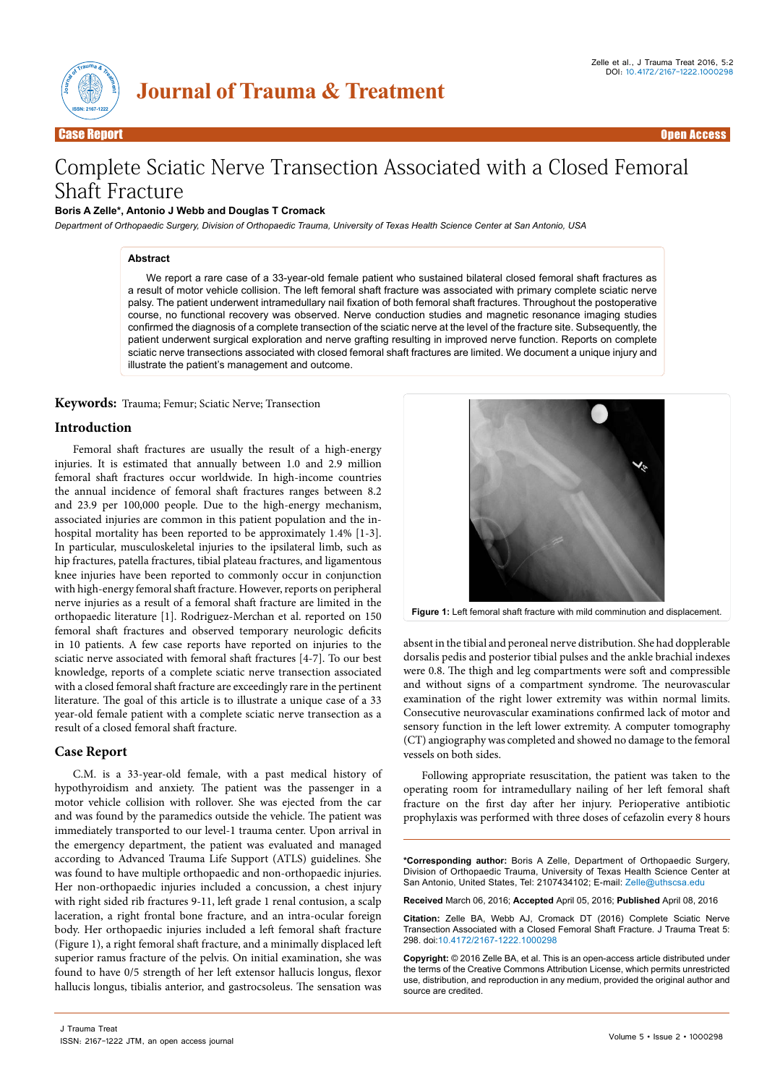



Case Report **Case Access and Case Access and Case Access** and Case Access and Case Access and Case Access and

# Complete Sciatic Nerve Transection Associated with a Closed Femoral Shaft Fracture

### **Boris A Zelle\*, Antonio J Webb and Douglas T Cromack**

*Department of Orthopaedic Surgery, Division of Orthopaedic Trauma, University of Texas Health Science Center at San Antonio, USA*

#### **Abstract**

We report a rare case of a 33-year-old female patient who sustained bilateral closed femoral shaft fractures as a result of motor vehicle collision. The left femoral shaft fracture was associated with primary complete sciatic nerve palsy. The patient underwent intramedullary nail fixation of both femoral shaft fractures. Throughout the postoperative course, no functional recovery was observed. Nerve conduction studies and magnetic resonance imaging studies confirmed the diagnosis of a complete transection of the sciatic nerve at the level of the fracture site. Subsequently, the patient underwent surgical exploration and nerve grafting resulting in improved nerve function. Reports on complete sciatic nerve transections associated with closed femoral shaft fractures are limited. We document a unique injury and illustrate the patient's management and outcome.

**Keywords:** Trauma; Femur; Sciatic Nerve; Transection

#### **Introduction**

Femoral shaft fractures are usually the result of a high-energy injuries. It is estimated that annually between 1.0 and 2.9 million femoral shaft fractures occur worldwide. In high-income countries the annual incidence of femoral shaft fractures ranges between 8.2 and 23.9 per 100,000 people. Due to the high-energy mechanism, associated injuries are common in this patient population and the inhospital mortality has been reported to be approximately 1.4% [1-3]. In particular, musculoskeletal injuries to the ipsilateral limb, such as hip fractures, patella fractures, tibial plateau fractures, and ligamentous knee injuries have been reported to commonly occur in conjunction with high-energy femoral shaft fracture. However, reports on peripheral nerve injuries as a result of a femoral shaft fracture are limited in the orthopaedic literature [1]. Rodriguez-Merchan et al. reported on 150 femoral shaft fractures and observed temporary neurologic deficits in 10 patients. A few case reports have reported on injuries to the sciatic nerve associated with femoral shaft fractures [4-7]. To our best knowledge, reports of a complete sciatic nerve transection associated with a closed femoral shaft fracture are exceedingly rare in the pertinent literature. The goal of this article is to illustrate a unique case of a 33 year-old female patient with a complete sciatic nerve transection as a result of a closed femoral shaft fracture.

#### **Case Report**

C.M. is a 33-year-old female, with a past medical history of hypothyroidism and anxiety. The patient was the passenger in a motor vehicle collision with rollover. She was ejected from the car and was found by the paramedics outside the vehicle. The patient was immediately transported to our level-1 trauma center. Upon arrival in the emergency department, the patient was evaluated and managed according to Advanced Trauma Life Support (ATLS) guidelines. She was found to have multiple orthopaedic and non-orthopaedic injuries. Her non-orthopaedic injuries included a concussion, a chest injury with right sided rib fractures 9-11, left grade 1 renal contusion, a scalp laceration, a right frontal bone fracture, and an intra-ocular foreign body. Her orthopaedic injuries included a left femoral shaft fracture (Figure 1), a right femoral shaft fracture, and a minimally displaced left superior ramus fracture of the pelvis. On initial examination, she was found to have 0/5 strength of her left extensor hallucis longus, flexor hallucis longus, tibialis anterior, and gastrocsoleus. The sensation was



**Figure 1:** Left femoral shaft fracture with mild comminution and displacement.

absent in the tibial and peroneal nerve distribution. She had dopplerable dorsalis pedis and posterior tibial pulses and the ankle brachial indexes were 0.8. The thigh and leg compartments were soft and compressible and without signs of a compartment syndrome. The neurovascular examination of the right lower extremity was within normal limits. Consecutive neurovascular examinations confirmed lack of motor and sensory function in the left lower extremity. A computer tomography (CT) angiography was completed and showed no damage to the femoral vessels on both sides.

Following appropriate resuscitation, the patient was taken to the operating room for intramedullary nailing of her left femoral shaft fracture on the first day after her injury. Perioperative antibiotic prophylaxis was performed with three doses of cefazolin every 8 hours

**\*Corresponding author:** Boris A Zelle, Department of Orthopaedic Surgery, Division of Orthopaedic Trauma, University of Texas Health Science Center at San Antonio, United States, Tel: 2107434102; E-mail: Zelle@uthscsa.edu

**Received** March 06, 2016; **Accepted** April 05, 2016; **Published** April 08, 2016

**Citation:** Zelle BA, Webb AJ, Cromack DT (2016) Complete Sciatic Nerve Transection Associated with a Closed Femoral Shaft Fracture. J Trauma Treat 5: 298. doi:10.4172/2167-1222.1000298

**Copyright:** © 2016 Zelle BA, et al. This is an open-access article distributed under the terms of the Creative Commons Attribution License, which permits unrestricted use, distribution, and reproduction in any medium, provided the original author and source are credited.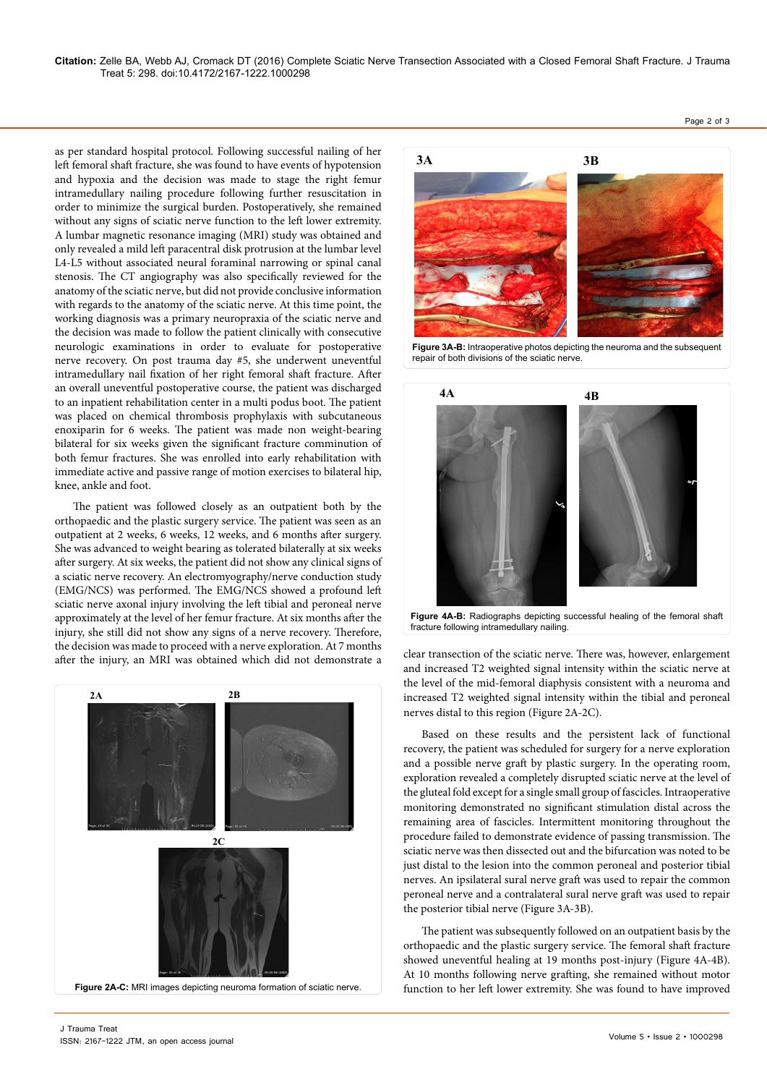**Citation:** Zelle BA, Webb AJ, Cromack DT (2016) Complete Sciatic Nerve Transection Associated with a Closed Femoral Shaft Fracture. J Trauma Treat 5: 298. doi:10.4172/2167-1222.1000298

as per standard hospital protocol. Following successful nailing of her left femoral shaft fracture, she was found to have events of hypotension and hypoxia and the decision was made to stage the right femur intramedullary nailing procedure following further resuscitation in order to minimize the surgical burden. Postoperatively, she remained without any signs of sciatic nerve function to the left lower extremity. A lumbar magnetic resonance imaging (MRI) study was obtained and only revealed a mild left paracentral disk protrusion at the lumbar level L4-L5 without associated neural foraminal narrowing or spinal canal stenosis. The CT angiography was also specifically reviewed for the anatomy of the sciatic nerve, but did not provide conclusive information with regards to the anatomy of the sciatic nerve. At this time point, the working diagnosis was a primary neuropraxia of the sciatic nerve and the decision was made to follow the patient clinically with consecutive neurologic examinations in order to evaluate for postoperative nerve recovery. On post trauma day #5, she underwent uneventful intramedullary nail fixation of her right femoral shaft fracture. After an overall uneventful postoperative course, the patient was discharged to an inpatient rehabilitation center in a multi podus boot. The patient was placed on chemical thrombosis prophylaxis with subcutaneous enoxiparin for 6 weeks. The patient was made non weight-bearing bilateral for six weeks given the significant fracture comminution of both femur fractures. She was enrolled into early rehabilitation with immediate active and passive range of motion exercises to bilateral hip, knee, ankle and foot.

The patient was followed closely as an outpatient both by the orthopaedic and the plastic surgery service. The patient was seen as an outpatient at 2 weeks, 6 weeks, 12 weeks, and 6 months after surgery. She was advanced to weight bearing as tolerated bilaterally at six weeks after surgery. At six weeks, the patient did not show any clinical signs of a sciatic nerve recovery. An electromyography/nerve conduction study (EMG/NCS) was performed. The EMG/NCS showed a profound left sciatic nerve axonal injury involving the left tibial and peroneal nerve approximately at the level of her femur fracture. At six months after the injury, she still did not show any signs of a nerve recovery. Therefore, the decision was made to proceed with a nerve exploration. At 7 months after the injury, an MRI was obtained which did not demonstrate a clear transection of the sciatic nerve. There was, however, enlargement clear transection of the sciatic nerve. There was, however, enlargement



**3A 3B**

**Figure 3A-B:** Intraoperative photos depicting the neuroma and the subsequent repair of both divisions of the sciatic nerve.



**Figure 4A-B:** Radiographs depicting successful healing of the femoral shaft fracture following intramedullary nailing.

and increased T2 weighted signal intensity within the sciatic nerve at the level of the mid-femoral diaphysis consistent with a neuroma and increased T2 weighted signal intensity within the tibial and peroneal nerves distal to this region (Figure 2A-2C).

Based on these results and the persistent lack of functional recovery, the patient was scheduled for surgery for a nerve exploration and a possible nerve graft by plastic surgery. In the operating room, exploration revealed a completely disrupted sciatic nerve at the level of the gluteal fold except for a single small group of fascicles. Intraoperative monitoring demonstrated no significant stimulation distal across the remaining area of fascicles. Intermittent monitoring throughout the procedure failed to demonstrate evidence of passing transmission. The sciatic nerve was then dissected out and the bifurcation was noted to be just distal to the lesion into the common peroneal and posterior tibial nerves. An ipsilateral sural nerve graft was used to repair the common peroneal nerve and a contralateral sural nerve graft was used to repair the posterior tibial nerve (Figure 3A-3B).

The patient was subsequently followed on an outpatient basis by the orthopaedic and the plastic surgery service. The femoral shaft fracture showed uneventful healing at 19 months post-injury (Figure 4A-4B). At 10 months following nerve grafting, she remained without motor function to her left lower extremity. She was found to have improved

Page 2 of 3